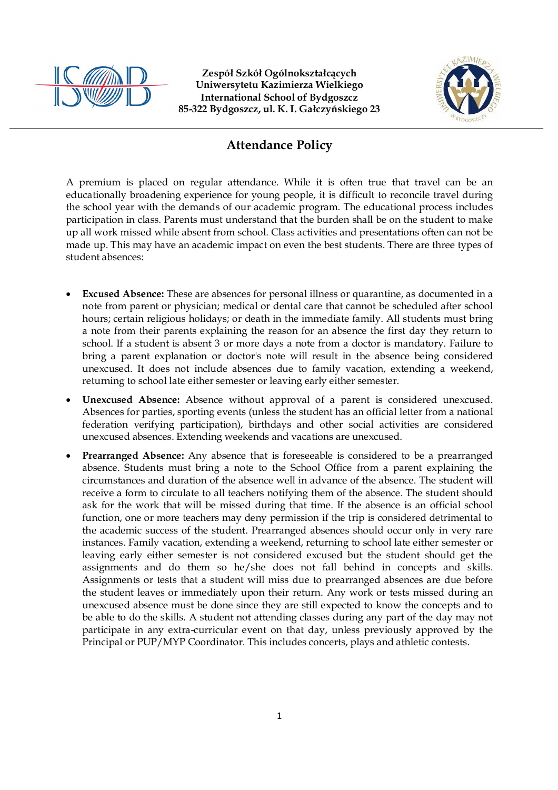



## **Attendance Policy**

A premium is placed on regular attendance. While it is often true that travel can be an educationally broadening experience for young people, it is difficult to reconcile travel during the school year with the demands of our academic program. The educational process includes participation in class. Parents must understand that the burden shall be on the student to make up all work missed while absent from school. Class activities and presentations often can not be made up. This may have an academic impact on even the best students. There are three types of student absences:

- **Excused Absence:** These are absences for personal illness or quarantine, as documented in a note from parent or physician; medical or dental care that cannot be scheduled after school hours; certain religious holidays; or death in the immediate family. All students must bring a note from their parents explaining the reason for an absence the first day they return to school. If a student is absent 3 or more days a note from a doctor is mandatory. Failure to bring a parent explanation or doctor's note will result in the absence being considered unexcused. It does not include absences due to family vacation, extending a weekend, returning to school late either semester or leaving early either semester.
- **Unexcused Absence:** Absence without approval of a parent is considered unexcused. Absences for parties, sporting events (unless the student has an official letter from a national federation verifying participation), birthdays and other social activities are considered unexcused absences. Extending weekends and vacations are unexcused.
- **Prearranged Absence:** Any absence that is foreseeable is considered to be a prearranged absence. Students must bring a note to the School Office from a parent explaining the circumstances and duration of the absence well in advance of the absence. The student will receive a form to circulate to all teachers notifying them of the absence. The student should ask for the work that will be missed during that time. If the absence is an official school function, one or more teachers may deny permission if the trip is considered detrimental to the academic success of the student. Prearranged absences should occur only in very rare instances. Family vacation, extending a weekend, returning to school late either semester or leaving early either semester is not considered excused but the student should get the assignments and do them so he/she does not fall behind in concepts and skills. Assignments or tests that a student will miss due to prearranged absences are due before the student leaves or immediately upon their return. Any work or tests missed during an unexcused absence must be done since they are still expected to know the concepts and to be able to do the skills. A student not attending classes during any part of the day may not participate in any extra-curricular event on that day, unless previously approved by the Principal or PUP/MYP Coordinator. This includes concerts, plays and athletic contests.